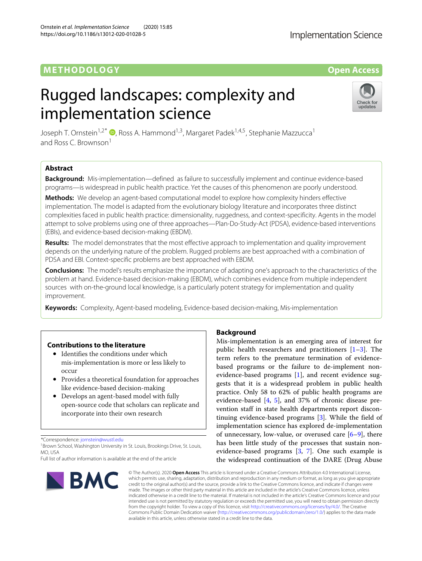# **METHODOLOGY Open Access**

# Rugged landscapes: complexity and implementation science

Joseph T. Ornstein<sup>1[,](http://orcid.org/0000-0002-5704-2098)2\*</sup> <sup>(D</sup>, Ross A. Hammond<sup>1,3</sup>, Margaret Padek<sup>1,4,5</sup>, Stephanie Mazzucca<sup>1</sup> and Ross C. Brownson<sup>1</sup>

# **Abstract**

**Background:** Mis-implementation—defined as failure to successfully implement and continue evidence-based programs—is widespread in public health practice. Yet the causes of this phenomenon are poorly understood.

**Methods:** We develop an agent-based computational model to explore how complexity hinders effective implementation. The model is adapted from the evolutionary biology literature and incorporates three distinct complexities faced in public health practice: dimensionality, ruggedness, and context-specificity. Agents in the model attempt to solve problems using one of three approaches—Plan-Do-Study-Act (PDSA), evidence-based interventions (EBIs), and evidence-based decision-making (EBDM).

**Results:** The model demonstrates that the most effective approach to implementation and quality improvement depends on the underlying nature of the problem. Rugged problems are best approached with a combination of PDSA and EBI. Context-specific problems are best approached with EBDM.

**Conclusions:** The model's results emphasize the importance of adapting one's approach to the characteristics of the problem at hand. Evidence-based decision-making (EBDM), which combines evidence from multiple independent sources with on-the-ground local knowledge, is a particularly potent strategy for implementation and quality improvement.

**Keywords:** Complexity, Agent-based modeling, Evidence-based decision-making, Mis-implementation

# **Contributions to the literature**

- Identifies the conditions under which mis-implementation is more or less likely to occur
- Provides a theoretical foundation for approaches like evidence-based decision-making
- Develops an agent-based model with fully open-source code that scholars can replicate and incorporate into their own research

\*Correspondence: [jornstein@wustl.edu](mailto: jornstein@wustl.edu)

# **Background**

Mis-implementation is an emerging area of interest for public health researchers and practitioners  $[1-3]$  $[1-3]$ . The term refers to the premature termination of evidencebased programs or the failure to de-implement nonevidence-based programs [\[1\]](#page-7-0), and recent evidence suggests that it is a widespread problem in public health practice. Only 58 to 62% of public health programs are evidence-based [\[4,](#page-7-2) [5\]](#page-7-3), and 37% of chronic disease prevention staff in state health departments report discontinuing evidence-based programs [\[3\]](#page-7-1). While the field of implementation science has explored de-implementation of unnecessary, low-value, or overused care  $[6-9]$  $[6-9]$ , there has been little study of the processes that sustain nonevidence-based programs [\[3,](#page-7-1) [7\]](#page-7-6). One such example is the widespread continuation of the DARE (Drug Abuse

© The Author(s). 2020 **Open Access** This article is licensed under a Creative Commons Attribution 4.0 International License, which permits use, sharing, adaptation, distribution and reproduction in any medium or format, as long as you give appropriate credit to the original author(s) and the source, provide a link to the Creative Commons licence, and indicate if changes were made. The images or other third party material in this article are included in the article's Creative Commons licence, unless indicated otherwise in a credit line to the material. If material is not included in the article's Creative Commons licence and your intended use is not permitted by statutory regulation or exceeds the permitted use, you will need to obtain permission directly from the copyright holder. To view a copy of this licence, visit [http://creativecommons.org/licenses/by/4.0/.](http://creativecommons.org/licenses/by/4.0/) The Creative Commons Public Domain Dedication waiver [\(http://creativecommons.org/publicdomain/zero/1.0/\)](http://creativecommons.org/publicdomain/zero/1.0/) applies to the data made available in this article, unless otherwise stated in a credit line to the data.







<sup>&</sup>lt;sup>1</sup> Brown School, Washington University in St. Louis, Brookings Drive, St. Louis, MO, USA

Full list of author information is available at the end of the article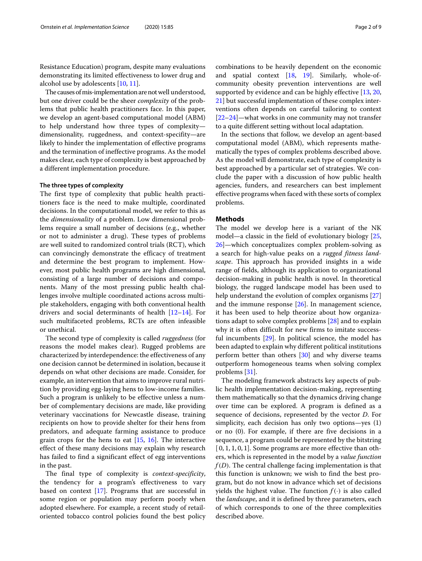Resistance Education) program, despite many evaluations demonstrating its limited effectiveness to lower drug and alcohol use by adolescents [\[10,](#page-7-7) [11\]](#page-7-8).

The causes of mis-implementation are not well understood, but one driver could be the sheer *complexity* of the problems that public health practitioners face. In this paper, we develop an agent-based computational model (ABM) to help understand how three types of complexity dimensionality, ruggedness, and context-specifity—are likely to hinder the implementation of effective programs and the termination of ineffective programs. As the model makes clear, each type of complexity is best approached by a different implementation procedure.

#### **The three types of complexity**

The first type of complexity that public health practitioners face is the need to make multiple, coordinated decisions. In the computational model, we refer to this as the *dimensionality* of a problem. Low dimensional problems require a small number of decisions (e.g., whether or not to administer a drug). These types of problems are well suited to randomized control trials (RCT), which can convincingly demonstrate the efficacy of treatment and determine the best program to implement. However, most public health programs are high dimensional, consisting of a large number of decisions and components. Many of the most pressing public health challenges involve multiple coordinated actions across multiple stakeholders, engaging with both conventional health drivers and social determinants of health [\[12–](#page-7-9)[14\]](#page-7-10). For such multifaceted problems, RCTs are often infeasible or unethical.

The second type of complexity is called *ruggedness* (for reasons the model makes clear). Rugged problems are characterized by interdependence: the effectiveness of any one decision cannot be determined in isolation, because it depends on what other decisions are made. Consider, for example, an intervention that aims to improve rural nutrition by providing egg-laying hens to low-income families. Such a program is unlikely to be effective unless a number of complementary decisions are made, like providing veterinary vaccinations for Newcastle disease, training recipients on how to provide shelter for their hens from predators, and adequate farming assistance to produce grain crops for the hens to eat [\[15,](#page-7-11) [16\]](#page-7-12). The interactive effect of these many decisions may explain why research has failed to find a significant effect of egg interventions in the past.

The final type of complexity is *context-specificity*, the tendency for a program's effectiveness to vary based on context [\[17\]](#page-7-13). Programs that are successful in some region or population may perform poorly when adopted elsewhere. For example, a recent study of retailoriented tobacco control policies found the best policy combinations to be heavily dependent on the economic and spatial context [\[18,](#page-7-14) [19\]](#page-7-15). Similarly, whole-ofcommunity obesity prevention interventions are well supported by evidence and can be highly effective [\[13,](#page-7-16) [20,](#page-7-17) [21\]](#page-7-18) but successful implementation of these complex interventions often depends on careful tailoring to context [\[22](#page-7-19)[–24\]](#page-7-20)—what works in one community may not transfer to a quite different setting without local adaptation.

In the sections that follow, we develop an agent-based computational model (ABM), which represents mathematically the types of complex problems described above. As the model will demonstrate, each type of complexity is best approached by a particular set of strategies. We conclude the paper with a discussion of how public health agencies, funders, and researchers can best implement effective programs when faced with these sorts of complex problems.

# **Methods**

The model we develop here is a variant of the NK model—a classic in the field of evolutionary biology [\[25,](#page-7-21) [26\]](#page-7-22)—which conceptualizes complex problem-solving as a search for high-value peaks on a *rugged fitness landscape*. This approach has provided insights in a wide range of fields, although its application to organizational decision-making in public health is novel. In theoretical biology, the rugged landscape model has been used to help understand the evolution of complex organisms [\[27\]](#page-7-23) and the immune response  $[26]$ . In management science, it has been used to help theorize about how organizations adapt to solve complex problems [\[28\]](#page-7-24) and to explain why it is often difficult for new firms to imitate successful incumbents [\[29\]](#page-7-25). In political science, the model has been adapted to explain why different political institutions perform better than others [\[30\]](#page-7-26) and why diverse teams outperform homogeneous teams when solving complex problems [\[31\]](#page-8-0).

The modeling framework abstracts key aspects of public health implementation decision-making, representing them mathematically so that the dynamics driving change over time can be explored. A program is defined as a sequence of decisions, represented by the vector *D*. For simplicity, each decision has only two options—yes (1) or no (0). For example, if there are five decisions in a sequence, a program could be represented by the bitstring  $[0, 1, 1, 0, 1]$ . Some programs are more effective than others, which is represented in the model by a *value function f* (*D*). The central challenge facing implementation is that this function is unknown; we wish to find the best program, but do not know in advance which set of decisions yields the highest value. The function  $f(\cdot)$  is also called the *landscape*, and it is defined by three parameters, each of which corresponds to one of the three complexities described above.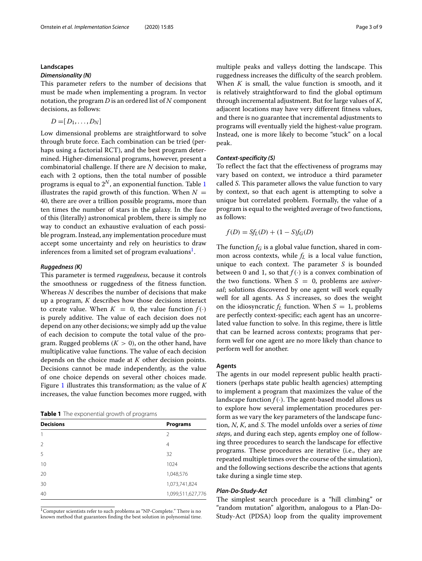#### **Landscapes**

# *Dimensionality (N)*

This parameter refers to the number of decisions that must be made when implementing a program. In vector notation, the program *D* is an ordered list of *N* component decisions, as follows:

 $D = [D_1, \ldots, D_N]$ 

Low dimensional problems are straightforward to solve through brute force. Each combination can be tried (perhaps using a factorial RCT), and the best program determined. Higher-dimensional programs, however, present a combinatorial challenge. If there are *N* decision to make, each with 2 options, then the total number of possible programs is equal to  $2^N$ , an exponential function. Table [1](#page-2-0) illustrates the rapid growth of this function. When  $N =$ 40, there are over a trillion possible programs, more than ten times the number of stars in the galaxy. In the face of this (literally) astronomical problem, there is simply no way to conduct an exhaustive evaluation of each possible program. Instead, any implementation procedure must accept some uncertainty and rely on heuristics to draw inferences from a limited set of program evaluations<sup>1</sup>.

#### *Ruggedness (K)*

This parameter is termed *ruggedness*, because it controls the smoothness or ruggedness of the fitness function. Whereas *N* describes the number of decisions that make up a program, *K* describes how those decisions interact to create value. When  $K = 0$ , the value function  $f(\cdot)$ is purely additive. The value of each decision does not depend on any other decisions; we simply add up the value of each decision to compute the total value of the program. Rugged problems  $(K > 0)$ , on the other hand, have multiplicative value functions. The value of each decision depends on the choice made at *K* other decision points. Decisions cannot be made independently, as the value of one choice depends on several other choices made. Figure [1](#page-3-0) illustrates this transformation; as the value of *K* increases, the value function becomes more rugged, with

**Table 1** The exponential growth of programs

<span id="page-2-0"></span>

| <b>Decisions</b> | <b>Programs</b>   |
|------------------|-------------------|
|                  | $\mathcal{P}$     |
| $\mathfrak{D}$   | 4                 |
| 5                | 32                |
| 10               | 1024              |
| 20               | 1,048,576         |
| 30               | 1,073,741,824     |
| 40               | 1,099,511,627,776 |

<span id="page-2-1"></span> $^1$ Computer scientists refer to such problems as "NP-Complete." There is no known method that guarantees finding the best solution in polynomial time. multiple peaks and valleys dotting the landscape. This ruggedness increases the difficulty of the search problem. When *K* is small, the value function is smooth, and it is relatively straightforward to find the global optimum through incremental adjustment. But for large values of *K*, adjacent locations may have very different fitness values, and there is no guarantee that incremental adjustments to programs will eventually yield the highest-value program. Instead, one is more likely to become "stuck" on a local peak.

#### *Context-specificity (S)*

To reflect the fact that the effectiveness of programs may vary based on context, we introduce a third parameter called *S*. This parameter allows the value function to vary by context, so that each agent is attempting to solve a unique but correlated problem. Formally, the value of a program is equal to the weighted average of two functions, as follows:

$$
f(D) = Sf_L(D) + (1 - S)f_G(D)
$$

The function  $f_G$  is a global value function, shared in common across contexts, while  $f_L$  is a local value function, unique to each context. The parameter *S* is bounded between 0 and 1, so that  $f(\cdot)$  is a convex combination of the two functions. When  $S = 0$ , problems are *universal*; solutions discovered by one agent will work equally well for all agents. As *S* increases, so does the weight on the idiosyncratic  $f_L$  function. When  $S = 1$ , problems are perfectly context-specific; each agent has an uncorrelated value function to solve. In this regime, there is little that can be learned across contexts; programs that perform well for one agent are no more likely than chance to perform well for another.

#### **Agents**

The agents in our model represent public health practitioners (perhaps state public health agencies) attempting to implement a program that maximizes the value of the landscape function  $f(\cdot)$ . The agent-based model allows us to explore how several implementation procedures perform as we vary the key parameters of the landscape function, *N*, *K*, and *S*. The model unfolds over a series of *time steps*, and during each step, agents employ one of following three procedures to search the landscape for effective programs. These procedures are iterative (i.e., they are repeated multiple times over the course of the simulation), and the following sections describe the actions that agents take during a single time step.

## *Plan-Do-Study-Act*

The simplest search procedure is a "hill climbing" or "random mutation" algorithm, analogous to a Plan-Do-Study-Act (PDSA) loop from the quality improvement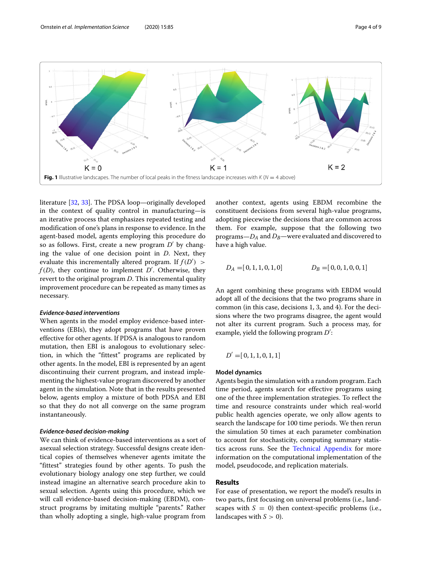

<span id="page-3-0"></span>literature [\[32,](#page-8-1) [33\]](#page-8-2). The PDSA loop—originally developed in the context of quality control in manufacturing—is an iterative process that emphasizes repeated testing and modification of one's plans in response to evidence. In the agent-based model, agents employing this procedure do so as follows. First, create a new program D' by changing the value of one decision point in *D*. Next, they evaluate this incrementally altered program. If  $f(D') >$  $f(D)$ , they continue to implement  $D'$ . Otherwise, they revert to the original program *D*. This incremental quality improvement procedure can be repeated as many times as necessary.

#### *Evidence-based interventions*

When agents in the model employ evidence-based interventions (EBIs), they adopt programs that have proven effective for other agents. If PDSA is analogous to random mutation, then EBI is analogous to evolutionary selection, in which the "fittest" programs are replicated by other agents. In the model, EBI is represented by an agent discontinuing their current program, and instead implementing the highest-value program discovered by another agent in the simulation. Note that in the results presented below, agents employ a mixture of both PDSA and EBI so that they do not all converge on the same program instantaneously.

#### *Evidence-based decision-making*

We can think of evidence-based interventions as a sort of asexual selection strategy. Successful designs create identical copies of themselves whenever agents imitate the "fittest" strategies found by other agents. To push the evolutionary biology analogy one step further, we could instead imagine an alternative search procedure akin to sexual selection. Agents using this procedure, which we will call evidence-based decision-making (EBDM), construct programs by imitating multiple "parents." Rather than wholly adopting a single, high-value program from another context, agents using EBDM recombine the constituent decisions from several high-value programs, adopting piecewise the decisions that are common across them. For example, suppose that the following two programs— $D_A$  and  $D_B$ —were evaluated and discovered to have a high value.

$$
D_A = [0, 1, 1, 0, 1, 0]
$$
  

$$
D_B = [0, 0, 1, 0, 0, 1]
$$

An agent combining these programs with EBDM would adopt all of the decisions that the two programs share in common (in this case, decisions 1, 3, and 4). For the decisions where the two programs disagree, the agent would not alter its current program. Such a process may, for example, yield the following program  $D^{\prime}$ :

$$
D' = [0, 1, 1, 0, 1, 1]
$$

## **Model dynamics**

Agents begin the simulation with a random program. Each time period, agents search for effective programs using one of the three implementation strategies. To reflect the time and resource constraints under which real-world public health agencies operate, we only allow agents to search the landscape for 100 time periods. We then rerun the simulation 50 times at each parameter combination to account for stochasticity, computing summary statistics across runs. See the [Technical Appendix](#page-6-0) for more information on the computational implementation of the model, pseudocode, and replication materials.

# **Results**

For ease of presentation, we report the model's results in two parts, first focusing on universal problems (i.e., landscapes with  $S = 0$ ) then context-specific problems (i.e., landscapes with  $S > 0$ ).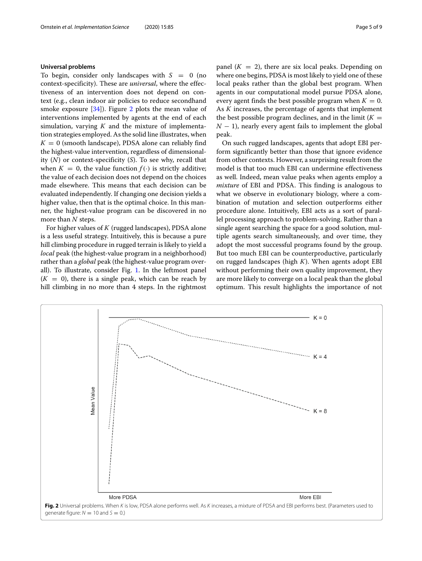#### **Universal problems**

To begin, consider only landscapes with  $S = 0$  (no context-specificity). These are *universal*, where the effectiveness of an intervention does not depend on context (e.g., clean indoor air policies to reduce secondhand smoke exposure  $[34]$ ). Figure [2](#page-4-0) plots the mean value of interventions implemented by agents at the end of each simulation, varying *K* and the mixture of implementation strategies employed. As the solid line illustrates, when  $K = 0$  (smooth landscape), PDSA alone can reliably find the highest-value intervention, regardless of dimensionality (*N*) or context-specificity (*S*). To see why, recall that when  $K = 0$ , the value function  $f(\cdot)$  is strictly additive; the value of each decision does not depend on the choices made elsewhere. This means that each decision can be evaluated independently. If changing one decision yields a higher value, then that is the optimal choice. In this manner, the highest-value program can be discovered in no more than *N* steps.

For higher values of *K* (rugged landscapes), PDSA alone is a less useful strategy. Intuitively, this is because a pure hill climbing procedure in rugged terrain is likely to yield a *local* peak (the highest-value program in a neighborhood) rather than a *global* peak (the highest-value program overall). To illustrate, consider Fig. [1.](#page-3-0) In the leftmost panel  $(K = 0)$ , there is a single peak, which can be reach by hill climbing in no more than 4 steps. In the rightmost panel  $(K = 2)$ , there are six local peaks. Depending on where one begins, PDSA is most likely to yield one of these local peaks rather than the global best program. When agents in our computational model pursue PDSA alone, every agent finds the best possible program when  $K = 0$ . As *K* increases, the percentage of agents that implement the best possible program declines, and in the limit  $(K =$  $N - 1$ ), nearly every agent fails to implement the global peak.

On such rugged landscapes, agents that adopt EBI perform significantly better than those that ignore evidence from other contexts. However, a surprising result from the model is that too much EBI can undermine effectiveness as well. Indeed, mean value peaks when agents employ a *mixture* of EBI and PDSA. This finding is analogous to what we observe in evolutionary biology, where a combination of mutation and selection outperforms either procedure alone. Intuitively, EBI acts as a sort of parallel processing approach to problem-solving. Rather than a single agent searching the space for a good solution, multiple agents search simultaneously, and over time, they adopt the most successful programs found by the group. But too much EBI can be counterproductive, particularly on rugged landscapes (high *K*). When agents adopt EBI without performing their own quality improvement, they are more likely to converge on a local peak than the global optimum. This result highlights the importance of not

<span id="page-4-0"></span>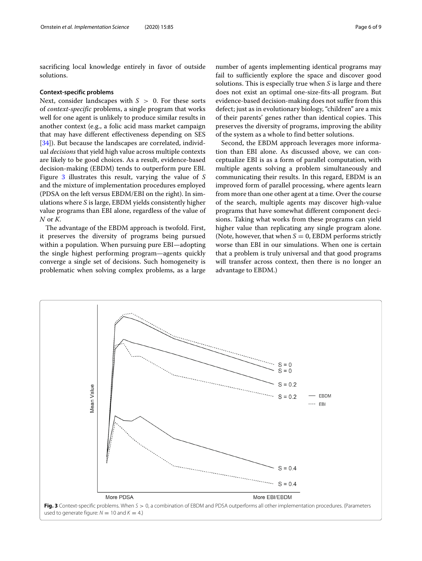sacrificing local knowledge entirely in favor of outside solutions.

## **Context-specific problems**

Next, consider landscapes with *S* > 0. For these sorts of *context-specific* problems, a single program that works well for one agent is unlikely to produce similar results in another context (e.g., a folic acid mass market campaign that may have different effectiveness depending on SES [\[34\]](#page-8-3)). But because the landscapes are correlated, individual *decisions* that yield high value across multiple contexts are likely to be good choices. As a result, evidence-based decision-making (EBDM) tends to outperform pure EBI. Figure [3](#page-5-0) illustrates this result, varying the value of *S* and the mixture of implementation procedures employed (PDSA on the left versus EBDM/EBI on the right). In simulations where *S* is large, EBDM yields consistently higher value programs than EBI alone, regardless of the value of *N* or *K*.

The advantage of the EBDM approach is twofold. First, it preserves the diversity of programs being pursued within a population. When pursuing pure EBI—adopting the single highest performing program—agents quickly converge a single set of decisions. Such homogeneity is problematic when solving complex problems, as a large number of agents implementing identical programs may fail to sufficiently explore the space and discover good solutions. This is especially true when *S* is large and there does not exist an optimal one-size-fits-all program. But evidence-based decision-making does not suffer from this defect; just as in evolutionary biology, "children" are a mix of their parents' genes rather than identical copies. This preserves the diversity of programs, improving the ability of the system as a whole to find better solutions.

Second, the EBDM approach leverages more information than EBI alone. As discussed above, we can conceptualize EBI is as a form of parallel computation, with multiple agents solving a problem simultaneously and communicating their results. In this regard, EBDM is an improved form of parallel processing, where agents learn from more than one other agent at a time. Over the course of the search, multiple agents may discover high-value programs that have somewhat different component decisions. Taking what works from these programs can yield higher value than replicating any single program alone. (Note, however, that when  $S = 0$ , EBDM performs strictly worse than EBI in our simulations. When one is certain that a problem is truly universal and that good programs will transfer across context, then there is no longer an advantage to EBDM.)

<span id="page-5-0"></span>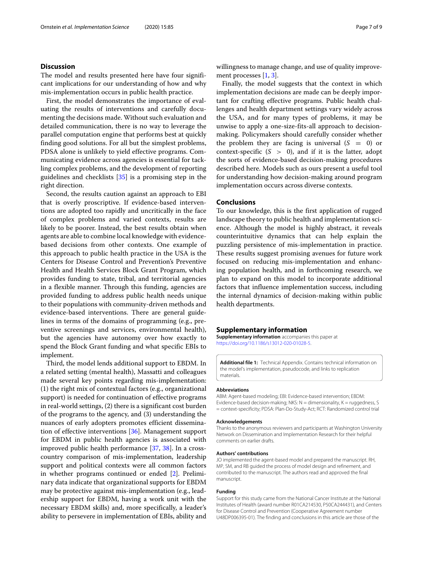#### **Discussion**

The model and results presented here have four significant implications for our understanding of how and why mis-implementation occurs in public health practice.

First, the model demonstrates the importance of evaluating the results of interventions and carefully documenting the decisions made. Without such evaluation and detailed communication, there is no way to leverage the parallel computation engine that performs best at quickly finding good solutions. For all but the simplest problems, PDSA alone is unlikely to yield effective programs. Communicating evidence across agencies is essential for tackling complex problems, and the development of reporting guidelines and checklists [\[35\]](#page-8-4) is a promising step in the right direction.

Second, the results caution against an approach to EBI that is overly proscriptive. If evidence-based interventions are adopted too rapidly and uncritically in the face of complex problems and varied contexts, results are likely to be poorer. Instead, the best results obtain when agents are able to combine local knowledge with evidencebased decisions from other contexts. One example of this approach to public health practice in the USA is the Centers for Disease Control and Prevention's Preventive Health and Health Services Block Grant Program, which provides funding to state, tribal, and territorial agencies in a flexible manner. Through this funding, agencies are provided funding to address public health needs unique to their populations with community-driven methods and evidence-based interventions. There are general guidelines in terms of the domains of programming (e.g., preventive screenings and services, environmental health), but the agencies have autonomy over how exactly to spend the Block Grant funding and what specific EBIs to implement.

Third, the model lends additional support to EBDM. In a related setting (mental health), Massatti and colleagues made several key points regarding mis-implementation: (1) the right mix of contextual factors (e.g., organizational support) is needed for continuation of effective programs in real-world settings, (2) there is a significant cost burden of the programs to the agency, and (3) understanding the nuances of early adopters promotes efficient dissemination of effective interventions [\[36\]](#page-8-5). Management support for EBDM in public health agencies is associated with improved public health performance [\[37,](#page-8-6) [38\]](#page-8-7). In a crosscountry comparison of mis-implementation, leadership support and political contexts were all common factors in whether programs continued or ended [\[2\]](#page-7-27). Preliminary data indicate that organizational supports for EBDM may be protective against mis-implementation (e.g., leadership support for EBDM, having a work unit with the necessary EBDM skills) and, more specifically, a leader's ability to persevere in implementation of EBIs, ability and willingness to manage change, and use of quality improvement processes [\[1,](#page-7-0) [3\]](#page-7-1).

Finally, the model suggests that the context in which implementation decisions are made can be deeply important for crafting effective programs. Public health challenges and health department settings vary widely across the USA, and for many types of problems, it may be unwise to apply a one-size-fits-all approach to decisionmaking. Policymakers should carefully consider whether the problem they are facing is universal  $(S = 0)$  or context-specific  $(S > 0)$ , and if it is the latter, adopt the sorts of evidence-based decision-making procedures described here. Models such as ours present a useful tool for understanding how decision-making around program implementation occurs across diverse contexts.

## **Conclusions**

To our knowledge, this is the first application of rugged landscape theory to public health and implementation science. Although the model is highly abstract, it reveals counterintuitive dynamics that can help explain the puzzling persistence of mis-implementation in practice. These results suggest promising avenues for future work focused on reducing mis-implementation and enhancing population health, and in forthcoming research, we plan to expand on this model to incorporate additional factors that influence implementation success, including the internal dynamics of decision-making within public health departments.

#### **Supplementary information**

**Supplementary information** accompanies this paper at [https://doi.org/10.1186/s13012-020-01028-5.](https://doi.org/10.1186/s13012-020-01028-5)

<span id="page-6-0"></span>**Additional file 1:** Technical Appendix. Contains technical information on the model's implementation, pseudocode, and links to replication materials.

#### **Abbreviations**

ABM: Agent-based modeling; EBI: Evidence-based intervention; EBDM: Evidence-based decision-making; NKS: N = dimensionality, K = ruggedness, S = context-specificity; PDSA: Plan-Do-Study-Act; RCT: Randomized control trial

#### **Acknowledgements**

Thanks to the anonymous reviewers and participants at Washington University Network on Dissemination and Implementation Research for their helpful comments on earlier drafts.

#### **Authors' contributions**

JO implemented the agent-based model and prepared the manuscript. RH, MP, SM, and RB quided the process of model design and refinement, and contributed to the manuscript. The authors read and approved the final manuscript.

#### **Funding**

Support for this study came from the National Cancer Institute at the National Institutes of Health (award number R01CA214530, P50CA244431), and Centers for Disease Control and Prevention (Cooperative Agreement number U48DP006395-01). The finding and conclusions in this article are those of the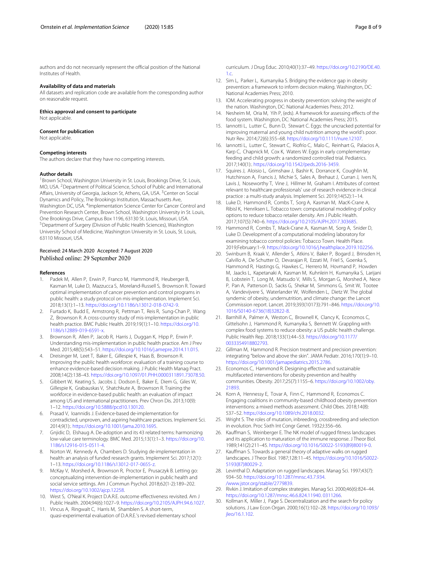authors and do not necessarily represent the official position of the National Institutes of Health.

#### **Availability of data and materials**

All datasets and replication code are available from the corresponding author on reasonable request.

## **Ethics approval and consent to participate**

Not applicable.

#### **Consent for publication**

Not applicable.

#### **Competing interests**

The authors declare that they have no competing interests.

#### **Author details**

<sup>1</sup> Brown School, Washington University in St. Louis, Brookings Drive, St. Louis, MO, USA. 2Department of Political Science, School of Public and International Affairs, University of Georgia, Jackson St, Athens, GA, USA. <sup>3</sup>Center on Social Dynamics and Policy, The Brookings Institution, Massachusetts Ave, Washington DC, USA. 4Implementation Science Center for Cancer Control and Prevention Research Center, Brown School, Washington University in St. Louis, One Brookings Drive, Campus Box 1196, 63130 St. Louis, Missouri, USA. 5Department of Surgery (Division of Public Health Sciences), Washington University School of Medicine, Washington University in St. Louis, St. Louis, 63110 Missouri, USA.

#### Received: 24 March 2020 Accepted: 7 August 2020 Published online: 29 September 2020

#### **References**

- <span id="page-7-0"></span>1. Padek M, Allen P, Erwin P, Franco M, Hammond R, Heuberger B, Kasman M, Luke D, Mazzucca S, Moreland-Russell S, Brownson R. Toward optimal implementation of cancer prevention and control programs in public health: a study protocol on mis-implementation. Implement Sci. 2018;13(1):1–13. [https://doi.org/10.1186/s13012-018-0742-9.](https://doi.org/10.1186/s13012-018-0742-9)
- <span id="page-7-27"></span>2. Furtado K, Budd E, Armstrong R, Pettman T, Reis R, Sung-Chan P, Wang Z, Brownson R. A cross-country study of mis-implementation in public health practice. BMC Public Health. 2019;19(1):1–10. [https://doi.org/10.](https://doi.org/10.1186/s12889-019-6591-x) [1186/s12889-019-6591-x.](https://doi.org/10.1186/s12889-019-6591-x)
- <span id="page-7-1"></span>3. Brownson R, Allen P, Jacob R, Harris J, Duggan K, Hipp P, Erwin P. Understanding mis-implementation in public health practice. Am J Prev Med. 2015;48(5):543–51. [https://doi.org/10.1016/j.amepre.2014.11.015.](https://doi.org/10.1016/j.amepre.2014.11.015)
- <span id="page-7-2"></span>4. Dreisinger M, Leet T, Baker E, Gillespie K, Haas B, Brownson R. Improving the public health workforce: evaluation of a training course to enhance evidence-based decision making. J Public Health Manag Pract. 2008;14(2):138–43. [https://doi.org/10.1097/01.PHH.0000311891.73078.50.](https://doi.org/10.1097/01.PHH.0000311891.73078.50)
- <span id="page-7-3"></span>5. Gibbert W, Keating S, Jacobs J, Dodson E, Baker E, Diem G, Giles W, Gillespie K, Grabauskas V, Shatchkute A, Brownson R. Training the workforce in evidence-based public health: an evaluation of impact among US and international practitioners. Prev Chron Dis. 2013;10(9): 1–12. [https://doi.org/10.5888/pcd10.130120.](https://doi.org/10.5888/pcd10.130120)
- <span id="page-7-4"></span>6. Prasad V, Ioannidis J. Evidence-based de-implementation for contradicted, unproven, and aspiring healthcare practices. Implement Sci. 2014;9(1):. [https://doi.org/10.1001/jama.2010.1695.](https://doi.org/10.1001/jama.2010.1695)
- <span id="page-7-6"></span>7. Gnjidic D, Elshaug A. De-adoption and its 43 related terms: harmonizing low-value care terminology. BMC Med. 2015;13(1):1–3. [https://doi.org/10.](https://doi.org/10.1186/s12916-015-0511-4) [1186/s12916-015-0511-4.](https://doi.org/10.1186/s12916-015-0511-4)
- 8. Norton W, Kennedy A, Chambers D. Studying de-implementation in health: an analysis of funded research grants. Implement Sci. 2017;12(1): 1–13. [https://doi.org/10.1186/s13012-017-0655-z.](https://doi.org/10.1186/s13012-017-0655-z)
- <span id="page-7-5"></span>McKay V, Morshed A, Brownson R, Proctor E, Prusaczyk B. Letting go: conceptualizing intervention de-implementation in public health and social service settings. Am J Commun Psychol. 2018;62(1-2):189–202. [https://doi.org/10.1002/ajcp.12258.](https://doi.org/10.1002/ajcp.12258)
- <span id="page-7-7"></span>10. West S, O'Neal K. Project D.A.R.E. outcome effectiveness revisited. Am J Public Health. 2004;94(6):1027–9. [https://doi.org/10.2105/AJPH.94.6.1027.](https://doi.org/10.2105/AJPH.94.6.1027)
- <span id="page-7-8"></span>11. Vincus A, Ringwalt C, Harris M, Shamblen S. A short-term, quasi-experimental evaluation of D.A.R.E.'s revised elementary school

curriculum. J Drug Educ. 2010;40(1):37–49. [https://doi.org/10.2190/DE.40.](https://doi.org/10.2190/DE.40.1.c) [1.c.](https://doi.org/10.2190/DE.40.1.c)

- <span id="page-7-9"></span>12. Sim L, Parker L, Kumanyika S. Bridging the evidence gap in obesity prevention: a framework to inform decision making. Washington, DC: National Academies Press; 2010.
- <span id="page-7-16"></span>13. IOM. Accelerating progress in obesity prevention: solving the weight of the nation. Washington, DC: National Academies Press; 2012.
- <span id="page-7-10"></span>14. Nesheim M, Oria M, Yih P, (eds). A framework for assessing effects of the food system. Washington, DC: National Academies Press; 2015.
- <span id="page-7-11"></span>15. Iannotti L, Lutter C, Bunn D, Stewart C. Eggs: the uncracked potential for improving maternal and young child nutrition among the world's poor. Nutr Rev. 2014;72(6):355–68. [https://doi.org/10.1111/nure.12107.](https://doi.org/10.1111/nure.12107)
- <span id="page-7-12"></span>16. Iannotti L, Lutter C, Stewart C, Riofrío C, Malo C, Reinhart G, Palacios A, Karp C, Chapnick M, Cox K, Waters W. Eggs in early complementary feeding and child growth: a randomized controlled trial. Pediatrics. 2017;140(1):. [https://doi.org/10.1542/peds.2016-3459.](https://doi.org/10.1542/peds.2016-3459)
- <span id="page-7-13"></span>17. Squires J, Aloisio L, Grimshaw J, Bashir K, Dorrance K, Coughlin M, Hutchinson A, Francis J, Michie S, Sales A, Brehaut J, Curran J, Ivers N, Lavis J, Noseworthy T, Vine J, Hillmer M, Graham I. Attributes of context relevant to healthcare professionals' use of research evidence in clinical practice : a multi-study analysis. Implement Sci. 2019;14(52):1–14.
- <span id="page-7-14"></span>18. Luke D, Hammond R, Combs T, Sorg A, Kasman M, MacK-Crane A, Ribisl K, Henriksen L. Tobacco town: computational modeling of policy options to reduce tobacco retailer density. Am J Public Health. 2017;107(5):740–6. [https://doi.org/10.2105/AJPH.2017.303685.](https://doi.org/10.2105/AJPH.2017.303685)
- <span id="page-7-15"></span>19. Hammond R, Combs T, Mack-Crane A, Kasman M, Sorg A, Snider D, Luke D. Development of a computational modeling laboratory for examining tobacco control policies: Tobacco Town. Health Place. 2019;February:1–9. [https://doi.org/10.1016/j.healthplace.2019.102256.](https://doi.org/10.1016/j.healthplace.2019.102256)
- <span id="page-7-17"></span>20. Swinburn B, Kraak V, Allender S, Atkins V, Baker P, Bogard J, Brinsden H, Calvillo A, De Schutter O, Devarajan R, Ezzati M, Friel S, Goenka S, Hammond R, Hastings G, Hawkes C, Herrero M, Hovmand P, Howden M, Jaacks L, Kapetanaki A, Kasman M, Kuhnlein H, Kumanyika S, Larijani B, Lobstein T, Long M, Matsudo V, Mills S, Morgan G, Morshed A, Nece P, Pan A, Patterson D, Sacks G, Shekar M, Simmons G, Smit W, Tootee A, Vandevijvere S, Waterlander W, Wolfenden L, Dietz W. The global syndemic of obesity, undernutrition, and climate change: the Lancet Commission report. Lancet. 2019;393(10173):791–846. [https://doi.org/10.](https://doi.org/10.1016/S0140-6736(18)32822-8) [1016/S0140-6736\(18\)32822-8.](https://doi.org/10.1016/S0140-6736(18)32822-8)
- <span id="page-7-18"></span>21. Barnhill A, Palmer A, Weston C, Brownell K, Clancy K, Economos C, Gittelsohn J, Hammond R, Kumanyika S, Bennett W. Grappling with complex food systems to reduce obesity: a US public health challenge. Public Health Rep. 2018;133(1):44–53. [https://doi.org/10.1177/](https://doi.org/10.1177/0033354918802793) [0033354918802793.](https://doi.org/10.1177/0033354918802793)
- <span id="page-7-19"></span>22. Gillman M, Hammond R. Precision treatment and precision prevention: integrating "below and above the skin". JAMA Pediatr. 2016;170(1):9–10. [https://doi.org/10.1001/jamapediatrics.2015.2786.](https://doi.org/10.1001/jamapediatrics.2015.2786)
- 23. Economos C, Hammond R. Designing effective and sustainable multifaceted interventions for obesity prevention and healthy communities. Obesity. 2017;25(7):1155–6. [https://doi.org/10.1002/oby.](https://doi.org/10.1002/oby.21893) [21893.](https://doi.org/10.1002/oby.21893)
- <span id="page-7-20"></span>24. Korn A, Hennessy E, Tovar A, Finn C, Hammond R, Economos C. Engaging coalitions in community-based childhood obesity prevention interventions: a mixed methods assessment. Child Obes. 2018;14(8): 537–52. [https://doi.org/10.1089/chi.2018.0032.](https://doi.org/10.1089/chi.2018.0032)
- <span id="page-7-21"></span>25. Wright S. The roles of mutation, inbreeding, crossbreeding and selection in evolution. Proc Sixth Int Congr Genet. 1932;I:356-66.
- <span id="page-7-22"></span>26. Kauffman S, Weinberger E. The NK model of rugged fitness landscapes and its application to maturation of the immune response. J Theor Biol. 1989;141(2):211–45. [https://doi.org/10.1016/S0022-5193\(89\)80019-0.](https://doi.org/10.1016/S0022-5193(89)80019-0)
- <span id="page-7-23"></span>27. Kauffman S. Towards a general theory of adaptive walks on rugged landscapes. J Theor Biol. 1987;128:11–45. [https://doi.org/10.1016/S0022-](https://doi.org/10.1016/S0022-5193(87)80029-2) [5193\(87\)80029-2.](https://doi.org/10.1016/S0022-5193(87)80029-2)
- <span id="page-7-24"></span>28. Levinthal D. Adaptation on rugged landscapes. Manag Sci. 1997;43(7): 934–50. [https://doi.org/10.1287/mnsc.43.7.934.](https://doi.org/10.1287/mnsc.43.7.934) [/www.jstor.org/stable/2779839.](http://arxiv.org/abs//www.jstor.org/stable/2779839)
- <span id="page-7-25"></span>29. Rivkin J. Imitation of complex strategies. Manag Sci. 2000;46(6):824–44. [https://doi.org/10.1287/mnsc.46.6.824.11940.](https://doi.org/10.1287/mnsc.46.6.824.11940) [0311266.](http://arxiv.org/abs/0311266)
- <span id="page-7-26"></span>30. Kollman K, Miller J, Page S. Decentralization and the search for policy solutions. J Law Econ Organ. 2000;16(1):102–28. [https://doi.org/10.1093/](https://doi.org/10.1093/jleo/16.1.102) [jleo/16.1.102.](https://doi.org/10.1093/jleo/16.1.102)